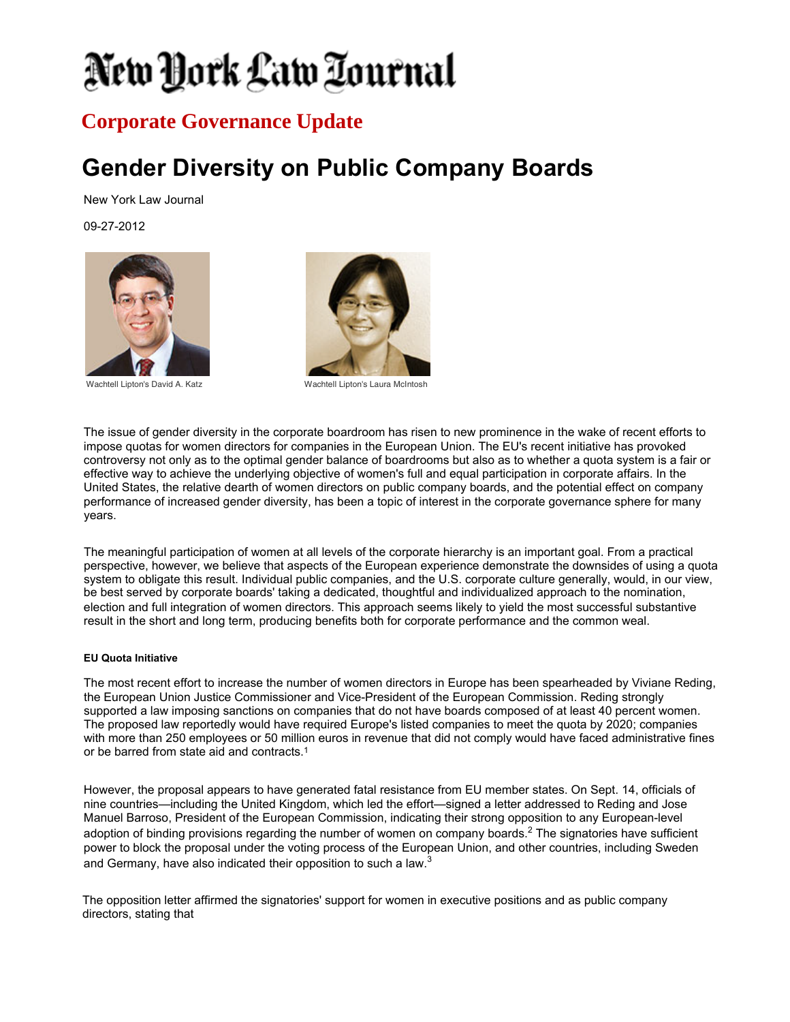# New York Law Tournal

### **Corporate Governance Update**

## **Gender Diversity on Public Company Boards**

New York Law Journal

09-27-2012





Wachtell Lipton's David A. Katz Wachtell Lipton's Laura McIntosh

The issue of gender diversity in the corporate boardroom has risen to new prominence in the wake of recent efforts to impose quotas for women directors for companies in the European Union. The EU's recent initiative has provoked controversy not only as to the optimal gender balance of boardrooms but also as to whether a quota system is a fair or effective way to achieve the underlying objective of women's full and equal participation in corporate affairs. In the United States, the relative dearth of women directors on public company boards, and the potential effect on company performance of increased gender diversity, has been a topic of interest in the corporate governance sphere for many years.

The meaningful participation of women at all levels of the corporate hierarchy is an important goal. From a practical perspective, however, we believe that aspects of the European experience demonstrate the downsides of using a quota system to obligate this result. Individual public companies, and the U.S. corporate culture generally, would, in our view, be best served by corporate boards' taking a dedicated, thoughtful and individualized approach to the nomination, election and full integration of women directors. This approach seems likely to yield the most successful substantive result in the short and long term, producing benefits both for corporate performance and the common weal.

#### **EU Quota Initiative**

The most recent effort to increase the number of women directors in Europe has been spearheaded by Viviane Reding, the European Union Justice Commissioner and Vice-President of the European Commission. Reding strongly supported a law imposing sanctions on companies that do not have boards composed of at least 40 percent women. The proposed law reportedly would have required Europe's listed companies to meet the quota by 2020; companies with more than 250 employees or 50 million euros in revenue that did not comply would have faced administrative fines or be barred from state aid and contracts.<sup>1</sup>

However, the proposal appears to have generated fatal resistance from EU member states. On Sept. 14, officials of nine countries—including the United Kingdom, which led the effort—signed a letter addressed to Reding and Jose Manuel Barroso, President of the European Commission, indicating their strong opposition to any European-level adoption of binding provisions regarding the number of women on company boards.<sup>2</sup> The signatories have sufficient power to block the proposal under the voting process of the European Union, and other countries, including Sweden and Germany, have also indicated their opposition to such a law.<sup>3</sup>

The opposition letter affirmed the signatories' support for women in executive positions and as public company directors, stating that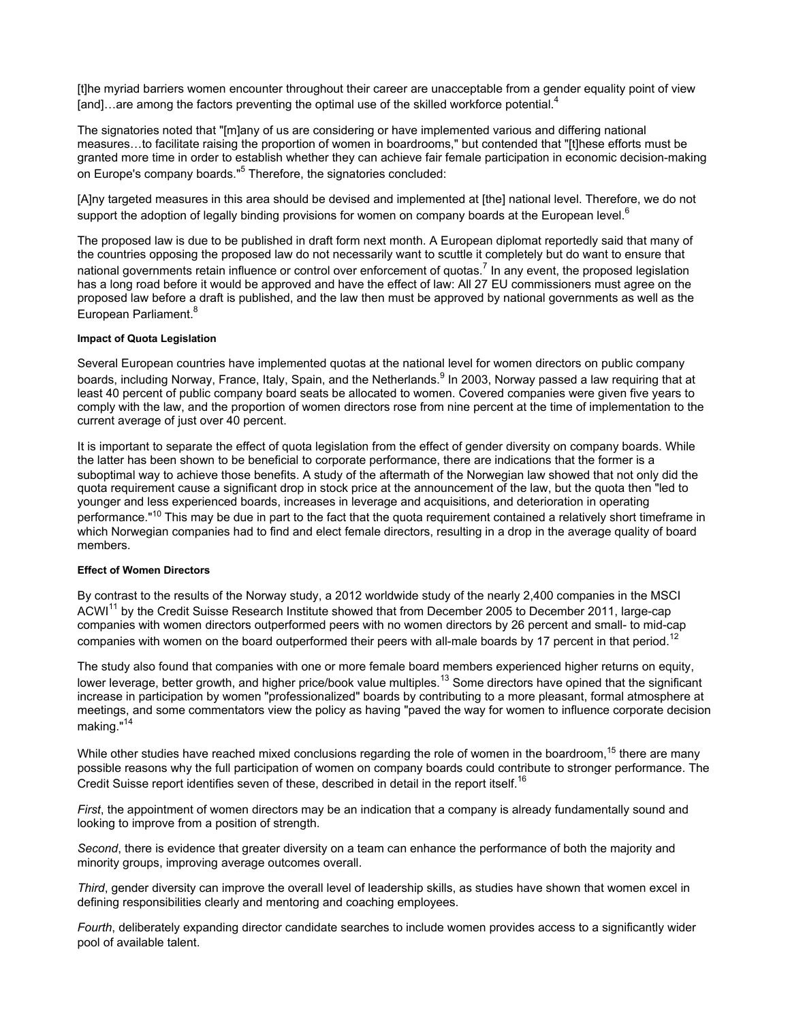[t]he myriad barriers women encounter throughout their career are unacceptable from a gender equality point of view [and]…are among the factors preventing the optimal use of the skilled workforce potential. $4$ 

The signatories noted that "[m]any of us are considering or have implemented various and differing national measures…to facilitate raising the proportion of women in boardrooms," but contended that "[t]hese efforts must be granted more time in order to establish whether they can achieve fair female participation in economic decision-making on Europe's company boards."<sup>5</sup> Therefore, the signatories concluded:

[A]ny targeted measures in this area should be devised and implemented at [the] national level. Therefore, we do not support the adoption of legally binding provisions for women on company boards at the European level.<sup>6</sup>

The proposed law is due to be published in draft form next month. A European diplomat reportedly said that many of the countries opposing the proposed law do not necessarily want to scuttle it completely but do want to ensure that national governments retain influence or control over enforcement of quotas.<sup>7</sup> In any event, the proposed legislation has a long road before it would be approved and have the effect of law: All 27 EU commissioners must agree on the proposed law before a draft is published, and the law then must be approved by national governments as well as the European Parliament.<sup>8</sup>

#### **Impact of Quota Legislation**

Several European countries have implemented quotas at the national level for women directors on public company boards, including Norway, France, Italy, Spain, and the Netherlands.<sup>9</sup> In 2003, Norway passed a law requiring that at least 40 percent of public company board seats be allocated to women. Covered companies were given five years to comply with the law, and the proportion of women directors rose from nine percent at the time of implementation to the current average of just over 40 percent.

It is important to separate the effect of quota legislation from the effect of gender diversity on company boards. While the latter has been shown to be beneficial to corporate performance, there are indications that the former is a suboptimal way to achieve those benefits. A study of the aftermath of the Norwegian law showed that not only did the quota requirement cause a significant drop in stock price at the announcement of the law, but the quota then "led to younger and less experienced boards, increases in leverage and acquisitions, and deterioration in operating performance."<sup>10</sup> This may be due in part to the fact that the quota requirement contained a relatively short timeframe in which Norwegian companies had to find and elect female directors, resulting in a drop in the average quality of board members.

#### **Effect of Women Directors**

By contrast to the results of the Norway study, a 2012 worldwide study of the nearly 2,400 companies in the MSCI ACWI<sup>11</sup> by the Credit Suisse Research Institute showed that from December 2005 to December 2011, large-cap companies with women directors outperformed peers with no women directors by 26 percent and small- to mid-cap companies with women on the board outperformed their peers with all-male boards by 17 percent in that period.<sup>12</sup>

The study also found that companies with one or more female board members experienced higher returns on equity, lower leverage, better growth, and higher price/book value multiples.<sup>13</sup> Some directors have opined that the significant increase in participation by women "professionalized" boards by contributing to a more pleasant, formal atmosphere at meetings, and some commentators view the policy as having "paved the way for women to influence corporate decision making."<sup>14</sup>

While other studies have reached mixed conclusions regarding the role of women in the boardroom,<sup>15</sup> there are many possible reasons why the full participation of women on company boards could contribute to stronger performance. The Credit Suisse report identifies seven of these, described in detail in the report itself.<sup>16</sup>

*First*, the appointment of women directors may be an indication that a company is already fundamentally sound and looking to improve from a position of strength.

*Second*, there is evidence that greater diversity on a team can enhance the performance of both the majority and minority groups, improving average outcomes overall.

*Third*, gender diversity can improve the overall level of leadership skills, as studies have shown that women excel in defining responsibilities clearly and mentoring and coaching employees.

*Fourth*, deliberately expanding director candidate searches to include women provides access to a significantly wider pool of available talent.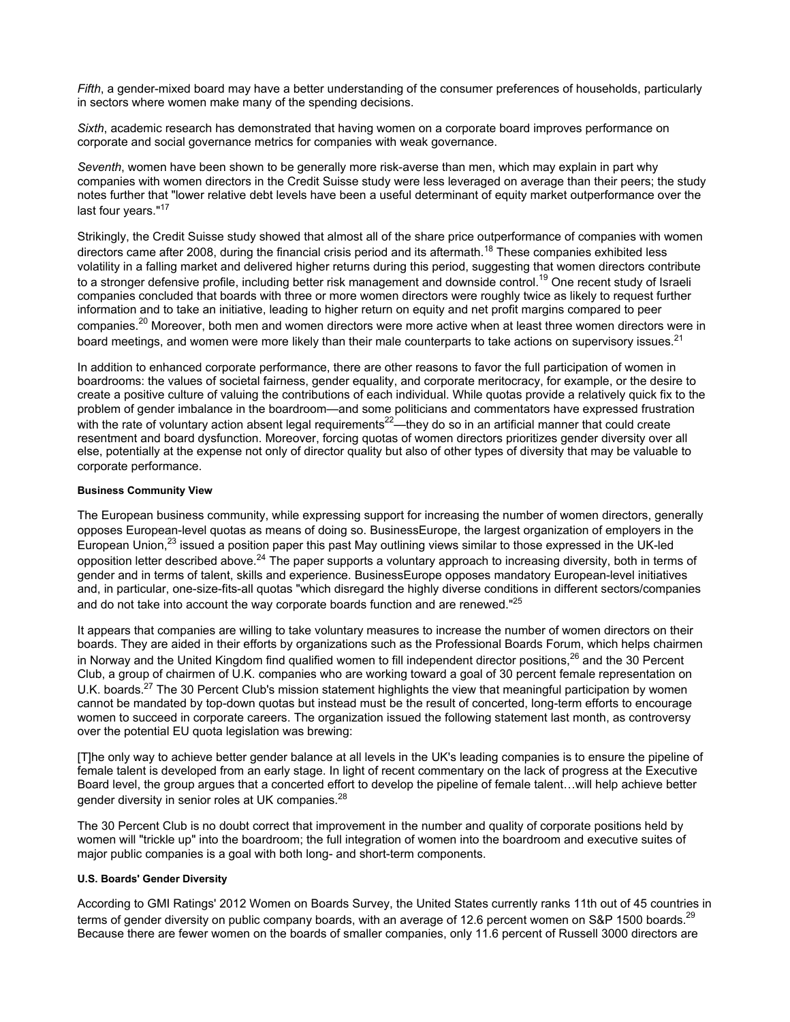*Fifth*, a gender-mixed board may have a better understanding of the consumer preferences of households, particularly in sectors where women make many of the spending decisions.

*Sixth*, academic research has demonstrated that having women on a corporate board improves performance on corporate and social governance metrics for companies with weak governance.

*Seventh*, women have been shown to be generally more risk-averse than men, which may explain in part why companies with women directors in the Credit Suisse study were less leveraged on average than their peers; the study notes further that "lower relative debt levels have been a useful determinant of equity market outperformance over the last four years."<sup>17</sup>

Strikingly, the Credit Suisse study showed that almost all of the share price outperformance of companies with women directors came after 2008, during the financial crisis period and its aftermath.<sup>18</sup> These companies exhibited less volatility in a falling market and delivered higher returns during this period, suggesting that women directors contribute to a stronger defensive profile, including better risk management and downside control.<sup>19</sup> One recent study of Israeli companies concluded that boards with three or more women directors were roughly twice as likely to request further information and to take an initiative, leading to higher return on equity and net profit margins compared to peer companies.<sup>20</sup> Moreover, both men and women directors were more active when at least three women directors were in board meetings, and women were more likely than their male counterparts to take actions on supervisory issues.<sup>21</sup>

In addition to enhanced corporate performance, there are other reasons to favor the full participation of women in boardrooms: the values of societal fairness, gender equality, and corporate meritocracy, for example, or the desire to create a positive culture of valuing the contributions of each individual. While quotas provide a relatively quick fix to the problem of gender imbalance in the boardroom—and some politicians and commentators have expressed frustration with the rate of voluntary action absent legal requirements $^{22}$ —they do so in an artificial manner that could create resentment and board dysfunction. Moreover, forcing quotas of women directors prioritizes gender diversity over all else, potentially at the expense not only of director quality but also of other types of diversity that may be valuable to corporate performance.

#### **Business Community View**

The European business community, while expressing support for increasing the number of women directors, generally opposes European-level quotas as means of doing so. BusinessEurope, the largest organization of employers in the European Union,<sup>23</sup> issued a position paper this past May outlining views similar to those expressed in the UK-led opposition letter described above.<sup>24</sup> The paper supports a voluntary approach to increasing diversity, both in terms of gender and in terms of talent, skills and experience. BusinessEurope opposes mandatory European-level initiatives and, in particular, one-size-fits-all quotas "which disregard the highly diverse conditions in different sectors/companies and do not take into account the way corporate boards function and are renewed."<sup>25</sup>

It appears that companies are willing to take voluntary measures to increase the number of women directors on their boards. They are aided in their efforts by organizations such as the Professional Boards Forum, which helps chairmen in Norway and the United Kingdom find qualified women to fill independent director positions, $26$  and the 30 Percent Club, a group of chairmen of U.K. companies who are working toward a goal of 30 percent female representation on U.K. boards.<sup>27</sup> The 30 Percent Club's mission statement highlights the view that meaningful participation by women cannot be mandated by top-down quotas but instead must be the result of concerted, long-term efforts to encourage women to succeed in corporate careers. The organization issued the following statement last month, as controversy over the potential EU quota legislation was brewing:

[T]he only way to achieve better gender balance at all levels in the UK's leading companies is to ensure the pipeline of female talent is developed from an early stage. In light of recent commentary on the lack of progress at the Executive Board level, the group argues that a concerted effort to develop the pipeline of female talent…will help achieve better gender diversity in senior roles at UK companies.<sup>28</sup>

The 30 Percent Club is no doubt correct that improvement in the number and quality of corporate positions held by women will "trickle up" into the boardroom; the full integration of women into the boardroom and executive suites of major public companies is a goal with both long- and short-term components.

#### **U.S. Boards' Gender Diversity**

According to GMI Ratings' 2012 Women on Boards Survey, the United States currently ranks 11th out of 45 countries in terms of gender diversity on public company boards, with an average of 12.6 percent women on S&P 1500 boards.<sup>29</sup> Because there are fewer women on the boards of smaller companies, only 11.6 percent of Russell 3000 directors are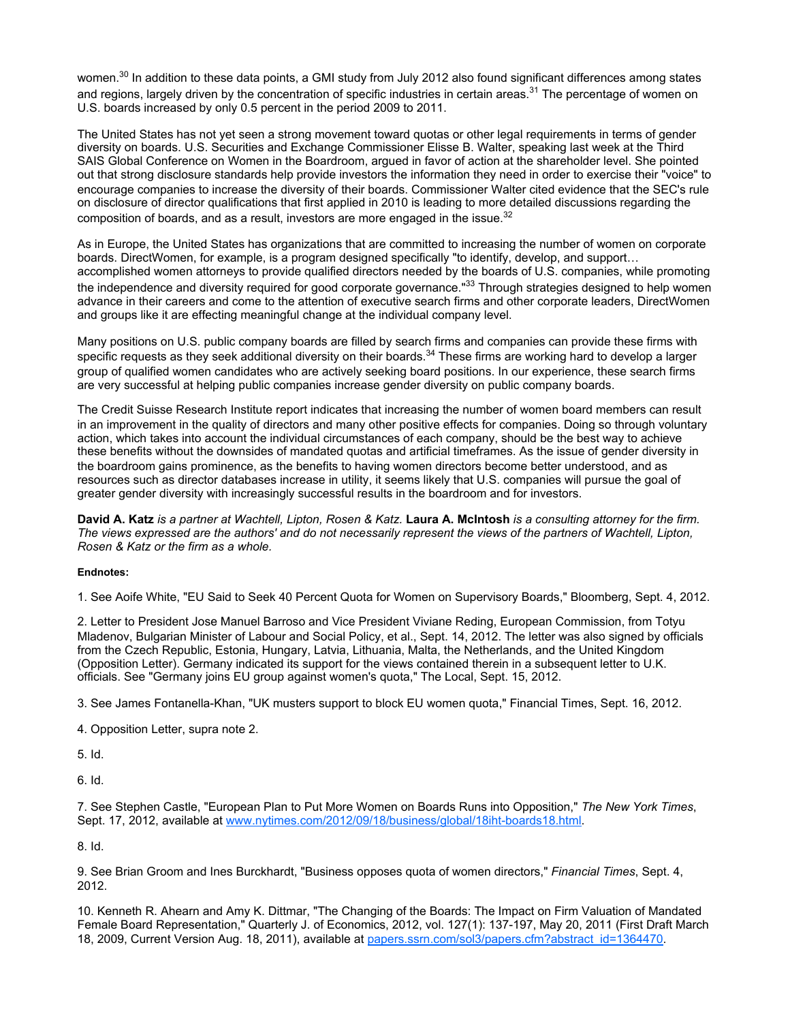women.<sup>30</sup> In addition to these data points, a GMI study from July 2012 also found significant differences among states and regions, largely driven by the concentration of specific industries in certain areas.<sup>31</sup> The percentage of women on U.S. boards increased by only 0.5 percent in the period 2009 to 2011.

The United States has not yet seen a strong movement toward quotas or other legal requirements in terms of gender diversity on boards. U.S. Securities and Exchange Commissioner Elisse B. Walter, speaking last week at the Third SAIS Global Conference on Women in the Boardroom, argued in favor of action at the shareholder level. She pointed out that strong disclosure standards help provide investors the information they need in order to exercise their "voice" to encourage companies to increase the diversity of their boards. Commissioner Walter cited evidence that the SEC's rule on disclosure of director qualifications that first applied in 2010 is leading to more detailed discussions regarding the composition of boards, and as a result, investors are more engaged in the issue.<sup>32</sup>

As in Europe, the United States has organizations that are committed to increasing the number of women on corporate boards. DirectWomen, for example, is a program designed specifically "to identify, develop, and support… accomplished women attorneys to provide qualified directors needed by the boards of U.S. companies, while promoting the independence and diversity required for good corporate governance."<sup>33</sup> Through strategies designed to help women advance in their careers and come to the attention of executive search firms and other corporate leaders, DirectWomen and groups like it are effecting meaningful change at the individual company level.

Many positions on U.S. public company boards are filled by search firms and companies can provide these firms with specific requests as they seek additional diversity on their boards. $34$  These firms are working hard to develop a larger group of qualified women candidates who are actively seeking board positions. In our experience, these search firms are very successful at helping public companies increase gender diversity on public company boards.

The Credit Suisse Research Institute report indicates that increasing the number of women board members can result in an improvement in the quality of directors and many other positive effects for companies. Doing so through voluntary action, which takes into account the individual circumstances of each company, should be the best way to achieve these benefits without the downsides of mandated quotas and artificial timeframes. As the issue of gender diversity in the boardroom gains prominence, as the benefits to having women directors become better understood, and as resources such as director databases increase in utility, it seems likely that U.S. companies will pursue the goal of greater gender diversity with increasingly successful results in the boardroom and for investors.

**David A. Katz** *is a partner at Wachtell, Lipton, Rosen & Katz.* **Laura A. McIntosh** *is a consulting attorney for the firm. The views expressed are the authors' and do not necessarily represent the views of the partners of Wachtell, Lipton, Rosen & Katz or the firm as a whole.*

#### **Endnotes:**

1. See Aoife White, "EU Said to Seek 40 Percent Quota for Women on Supervisory Boards," Bloomberg, Sept. 4, 2012.

2. Letter to President Jose Manuel Barroso and Vice President Viviane Reding, European Commission, from Totyu Mladenov, Bulgarian Minister of Labour and Social Policy, et al., Sept. 14, 2012. The letter was also signed by officials from the Czech Republic, Estonia, Hungary, Latvia, Lithuania, Malta, the Netherlands, and the United Kingdom (Opposition Letter). Germany indicated its support for the views contained therein in a subsequent letter to U.K. officials. See "Germany joins EU group against women's quota," The Local, Sept. 15, 2012.

3. See James Fontanella-Khan, "UK musters support to block EU women quota," Financial Times, Sept. 16, 2012.

4. Opposition Letter, supra note 2.

5. Id.

6. Id.

7. See Stephen Castle, "European Plan to Put More Women on Boards Runs into Opposition," *The New York Times*, Sept. 17, 2012, available at www.nytimes.com/2012/09/18/business/global/18iht-boards18.html.

8. Id.

9. See Brian Groom and Ines Burckhardt, "Business opposes quota of women directors," *Financial Times*, Sept. 4, 2012.

10. Kenneth R. Ahearn and Amy K. Dittmar, "The Changing of the Boards: The Impact on Firm Valuation of Mandated Female Board Representation," Quarterly J. of Economics, 2012, vol. 127(1): 137-197, May 20, 2011 (First Draft March 18, 2009, Current Version Aug. 18, 2011), available at papers.ssrn.com/sol3/papers.cfm?abstract\_id=1364470.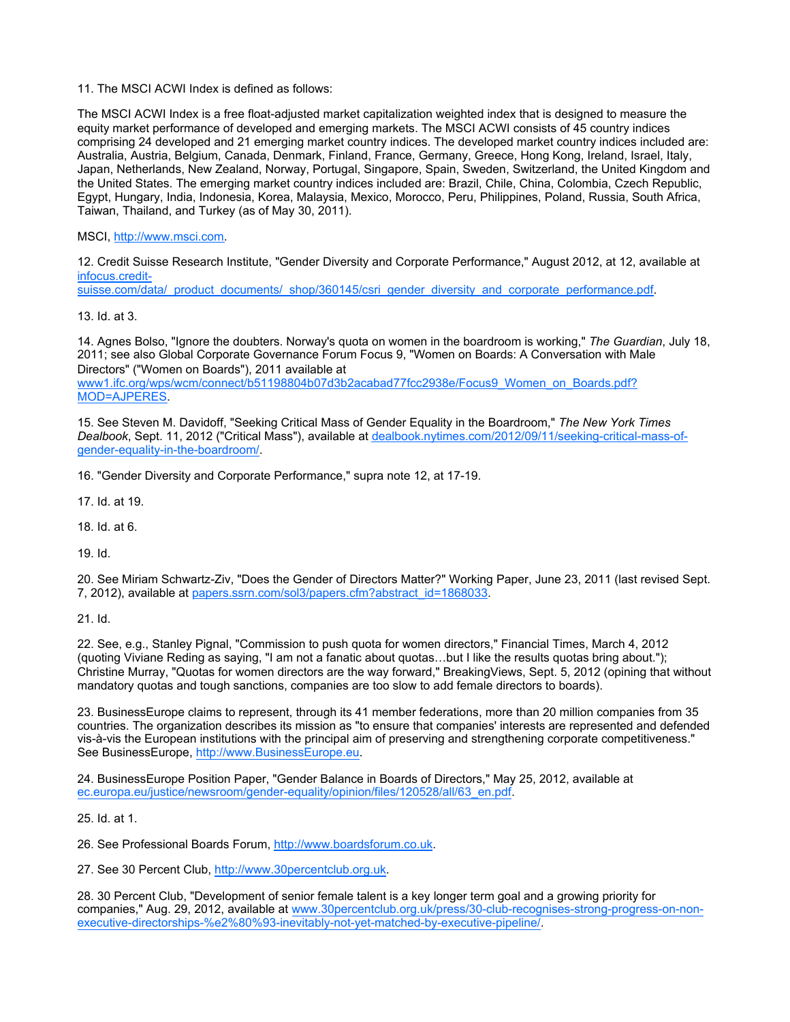11. The MSCI ACWI Index is defined as follows:

The MSCI ACWI Index is a free float-adjusted market capitalization weighted index that is designed to measure the equity market performance of developed and emerging markets. The MSCI ACWI consists of 45 country indices comprising 24 developed and 21 emerging market country indices. The developed market country indices included are: Australia, Austria, Belgium, Canada, Denmark, Finland, France, Germany, Greece, Hong Kong, Ireland, Israel, Italy, Japan, Netherlands, New Zealand, Norway, Portugal, Singapore, Spain, Sweden, Switzerland, the United Kingdom and the United States. The emerging market country indices included are: Brazil, Chile, China, Colombia, Czech Republic, Egypt, Hungary, India, Indonesia, Korea, Malaysia, Mexico, Morocco, Peru, Philippines, Poland, Russia, South Africa, Taiwan, Thailand, and Turkey (as of May 30, 2011).

MSCI, http://www.msci.com.

12. Credit Suisse Research Institute, "Gender Diversity and Corporate Performance," August 2012, at 12, available at infocus.credit-

suisse.com/data/\_product\_documents/\_shop/360145/csri\_gender\_diversity\_and\_corporate\_performance.pdf.

13. Id. at 3.

14. Agnes Bolso, "Ignore the doubters. Norway's quota on women in the boardroom is working," *The Guardian*, July 18, 2011; see also Global Corporate Governance Forum Focus 9, "Women on Boards: A Conversation with Male Directors" ("Women on Boards"), 2011 available at www1.ifc.org/wps/wcm/connect/b51198804b07d3b2acabad77fcc2938e/Focus9\_Women\_on\_Boards.pdf? MOD=AJPERES.

15. See Steven M. Davidoff, "Seeking Critical Mass of Gender Equality in the Boardroom," *The New York Times Dealbook*, Sept. 11, 2012 ("Critical Mass"), available at dealbook.nytimes.com/2012/09/11/seeking-critical-mass-ofgender-equality-in-the-boardroom/.

16. "Gender Diversity and Corporate Performance," supra note 12, at 17-19.

17. Id. at 19.

18. Id. at 6.

19. Id.

20. See Miriam Schwartz-Ziv, "Does the Gender of Directors Matter?" Working Paper, June 23, 2011 (last revised Sept. 7, 2012), available at papers.ssrn.com/sol3/papers.cfm?abstract\_id=1868033.

21. Id.

22. See, e.g., Stanley Pignal, "Commission to push quota for women directors," Financial Times, March 4, 2012 (quoting Viviane Reding as saying, "I am not a fanatic about quotas…but I like the results quotas bring about."); Christine Murray, "Quotas for women directors are the way forward," BreakingViews, Sept. 5, 2012 (opining that without mandatory quotas and tough sanctions, companies are too slow to add female directors to boards).

23. BusinessEurope claims to represent, through its 41 member federations, more than 20 million companies from 35 countries. The organization describes its mission as "to ensure that companies' interests are represented and defended vis-à-vis the European institutions with the principal aim of preserving and strengthening corporate competitiveness." See BusinessEurope, http://www.BusinessEurope.eu.

24. BusinessEurope Position Paper, "Gender Balance in Boards of Directors," May 25, 2012, available at ec.europa.eu/justice/newsroom/gender-equality/opinion/files/120528/all/63\_en.pdf.

25. Id. at 1.

26. See Professional Boards Forum, http://www.boardsforum.co.uk.

27. See 30 Percent Club, http://www.30percentclub.org.uk.

28. 30 Percent Club, "Development of senior female talent is a key longer term goal and a growing priority for companies," Aug. 29, 2012, available at www.30percentclub.org.uk/press/30-club-recognises-strong-progress-on-nonexecutive-directorships-%e2%80%93-inevitably-not-yet-matched-by-executive-pipeline/.